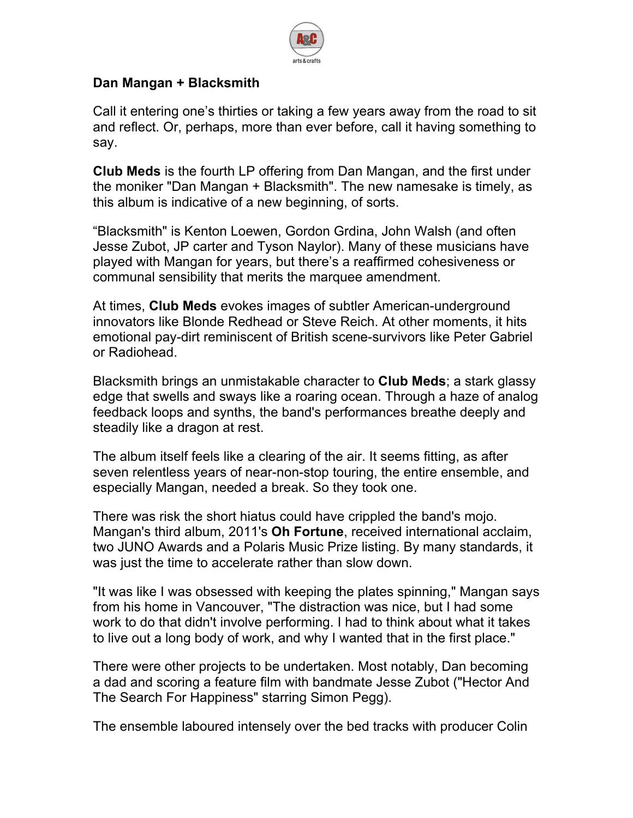

## **Dan Mangan + Blacksmith**

Call it entering one's thirties or taking a few years away from the road to sit and reflect. Or, perhaps, more than ever before, call it having something to say.

**Club Meds** is the fourth LP offering from Dan Mangan, and the first under the moniker "Dan Mangan + Blacksmith". The new namesake is timely, as this album is indicative of a new beginning, of sorts.

"Blacksmith" is Kenton Loewen, Gordon Grdina, John Walsh (and often Jesse Zubot, JP carter and Tyson Naylor). Many of these musicians have played with Mangan for years, but there's a reaffirmed cohesiveness or communal sensibility that merits the marquee amendment.

At times, **Club Meds** evokes images of subtler American-underground innovators like Blonde Redhead or Steve Reich. At other moments, it hits emotional pay-dirt reminiscent of British scene-survivors like Peter Gabriel or Radiohead.

Blacksmith brings an unmistakable character to **Club Meds**; a stark glassy edge that swells and sways like a roaring ocean. Through a haze of analog feedback loops and synths, the band's performances breathe deeply and steadily like a dragon at rest.

The album itself feels like a clearing of the air. It seems fitting, as after seven relentless years of near-non-stop touring, the entire ensemble, and especially Mangan, needed a break. So they took one.

There was risk the short hiatus could have crippled the band's mojo. Mangan's third album, 2011's **Oh Fortune**, received international acclaim, two JUNO Awards and a Polaris Music Prize listing. By many standards, it was just the time to accelerate rather than slow down.

"It was like I was obsessed with keeping the plates spinning," Mangan says from his home in Vancouver, "The distraction was nice, but I had some work to do that didn't involve performing. I had to think about what it takes to live out a long body of work, and why I wanted that in the first place."

There were other projects to be undertaken. Most notably, Dan becoming a dad and scoring a feature film with bandmate Jesse Zubot ("Hector And The Search For Happiness" starring Simon Pegg).

The ensemble laboured intensely over the bed tracks with producer Colin